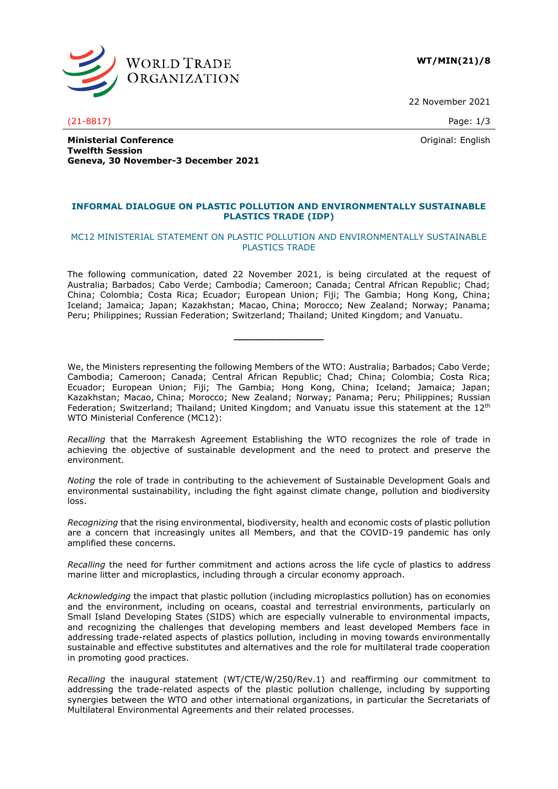

**WT/MIN(21)/8**

22 November 2021

Original: English

**Ministerial Conference Twelfth Session Geneva, 30 November-3 December 2021**

## **INFORMAL DIALOGUE ON PLASTIC POLLUTION AND ENVIRONMENTALLY SUSTAINABLE PLASTICS TRADE (IDP)**

## MC12 MINISTERIAL STATEMENT ON PLASTIC POLLUTION AND ENVIRONMENTALLY SUSTAINABLE PLASTICS TRADE

The following communication, dated 22 November 2021, is being circulated at the request of Australia; Barbados; Cabo Verde; Cambodia; Cameroon; Canada; Central African Republic; Chad; China; Colombia; Costa Rica; Ecuador; European Union; Fiji; The Gambia; Hong Kong, China; Iceland; Jamaica; Japan; Kazakhstan; Macao, China; Morocco; New Zealand; Norway; Panama; Peru; Philippines; Russian Federation; Switzerland; Thailand; United Kingdom; and Vanuatu.

**\_\_\_\_\_\_\_\_\_\_\_\_\_\_\_**

We, the Ministers representing the following Members of the WTO: Australia; Barbados; Cabo Verde; Cambodia; Cameroon; Canada; Central African Republic; Chad; China; Colombia; Costa Rica; Ecuador; European Union; Fiji; The Gambia; Hong Kong, China; Iceland; Jamaica; Japan; Kazakhstan; Macao, China; Morocco; New Zealand; Norway; Panama; Peru; Philippines; Russian Federation: Switzerland: Thailand: United Kingdom: and Vanuatu issue this statement at the 12<sup>th</sup> WTO Ministerial Conference (MC12):

*Recalling* that the Marrakesh Agreement Establishing the WTO recognizes the role of trade in achieving the objective of sustainable development and the need to protect and preserve the environment.

*Noting* the role of trade in contributing to the achievement of Sustainable Development Goals and environmental sustainability, including the fight against climate change, pollution and biodiversity loss.

*Recognizing* that the rising environmental, biodiversity, health and economic costs of plastic pollution are a concern that increasingly unites all Members, and that the COVID-19 pandemic has only amplified these concerns.

*Recalling* the need for further commitment and actions across the life cycle of plastics to address marine litter and microplastics, including through a circular economy approach.

*Acknowledging* the impact that plastic pollution (including microplastics pollution) has on economies and the environment, including on oceans, coastal and terrestrial environments, particularly on Small Island Developing States (SIDS) which are especially vulnerable to environmental impacts, and recognizing the challenges that developing members and least developed Members face in addressing trade-related aspects of plastics pollution, including in moving towards environmentally sustainable and effective substitutes and alternatives and the role for multilateral trade cooperation in promoting good practices.

*Recalling* the inaugural statement (WT/CTE/W/250/Rev.1) and reaffirming our commitment to addressing the trade-related aspects of the plastic pollution challenge, including by supporting synergies between the WTO and other international organizations, in particular the Secretariats of Multilateral Environmental Agreements and their related processes.

(21-8817) Page: 1/3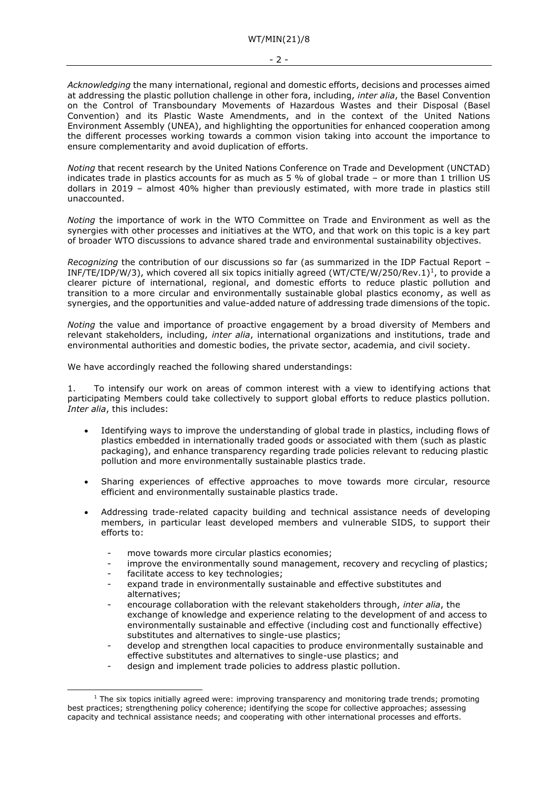*Acknowledging* the many international, regional and domestic efforts, decisions and processes aimed at addressing the plastic pollution challenge in other fora, including, *inter alia*, the Basel Convention on the Control of Transboundary Movements of Hazardous Wastes and their Disposal (Basel Convention) and its Plastic Waste Amendments, and in the context of the United Nations Environment Assembly (UNEA), and highlighting the opportunities for enhanced cooperation among the different processes working towards a common vision taking into account the importance to ensure complementarity and avoid duplication of efforts.

*Noting* that recent research by the United Nations Conference on Trade and Development (UNCTAD) indicates trade in plastics accounts for as much as 5 % of global trade – or more than 1 trillion US dollars in 2019 – almost 40% higher than previously estimated, with more trade in plastics still unaccounted.

*Noting* the importance of work in the WTO Committee on Trade and Environment as well as the synergies with other processes and initiatives at the WTO, and that work on this topic is a key part of broader WTO discussions to advance shared trade and environmental sustainability objectives.

*Recognizing* the contribution of our discussions so far (as summarized in the IDP Factual Report – INF/TE/IDP/W/3), which covered all six topics initially agreed (WT/CTE/W/250/Rev.1)<sup>1</sup>, to provide a clearer picture of international, regional, and domestic efforts to reduce plastic pollution and transition to a more circular and environmentally sustainable global plastics economy, as well as synergies, and the opportunities and value-added nature of addressing trade dimensions of the topic.

*Noting* the value and importance of proactive engagement by a broad diversity of Members and relevant stakeholders, including, *inter alia*, international organizations and institutions, trade and environmental authorities and domestic bodies, the private sector, academia, and civil society.

We have accordingly reached the following shared understandings:

1. To intensify our work on areas of common interest with a view to identifying actions that participating Members could take collectively to support global efforts to reduce plastics pollution. *Inter alia*, this includes:

- Identifying ways to improve the understanding of global trade in plastics, including flows of plastics embedded in internationally traded goods or associated with them (such as plastic packaging), and enhance transparency regarding trade policies relevant to reducing plastic pollution and more environmentally sustainable plastics trade.
- Sharing experiences of effective approaches to move towards more circular, resource efficient and environmentally sustainable plastics trade.
- Addressing trade-related capacity building and technical assistance needs of developing members, in particular least developed members and vulnerable SIDS, to support their efforts to:
	- move towards more circular plastics economies;
	- improve the environmentally sound management, recovery and recycling of plastics;
	- facilitate access to key technologies;
	- expand trade in environmentally sustainable and effective substitutes and alternatives;
	- encourage collaboration with the relevant stakeholders through, *inter alia*, the exchange of knowledge and experience relating to the development of and access to environmentally sustainable and effective (including cost and functionally effective) substitutes and alternatives to single-use plastics;
	- develop and strengthen local capacities to produce environmentally sustainable and effective substitutes and alternatives to single-use plastics; and
	- design and implement trade policies to address plastic pollution.

 $<sup>1</sup>$  The six topics initially agreed were: improving transparency and monitoring trade trends; promoting</sup> best practices; strengthening policy coherence; identifying the scope for collective approaches; assessing capacity and technical assistance needs; and cooperating with other international processes and efforts.